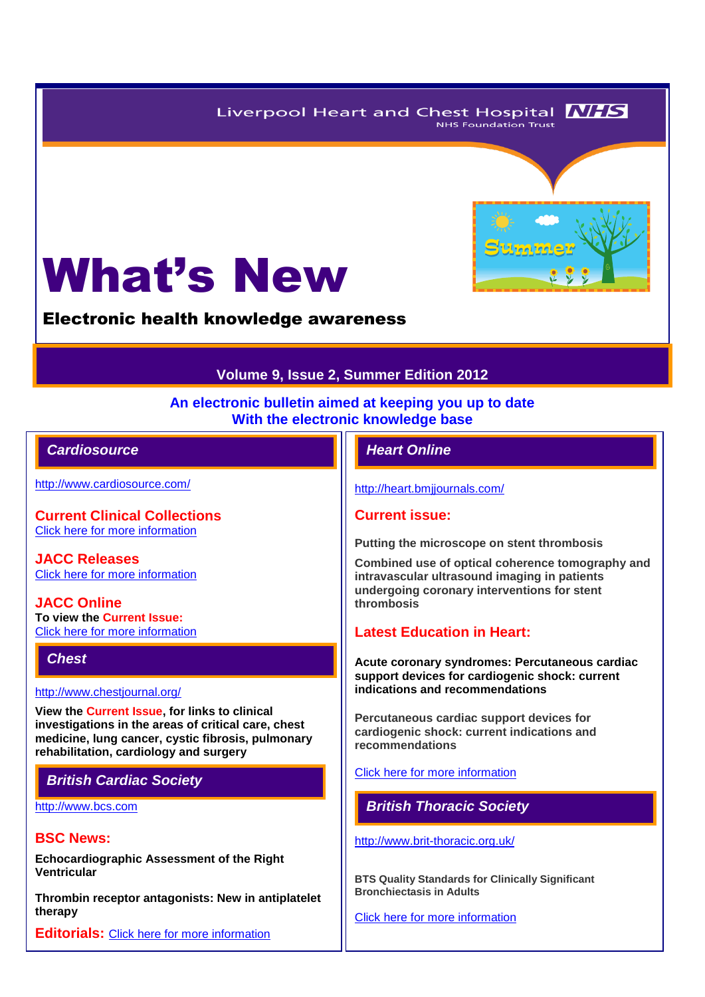Liverpool Heart and Chest Hospital **NHS NHS Foundation Trust** 



Electronic health knowledge awareness

## **Volume 9, Issue 2, Summer Edition 2012**

#### **An electronic bulletin aimed at keeping you up to date With the electronic knowledge base**

## *Cardiosource Heart Online*

<http://www.cardiosource.com/>

**Current Clinical Collections** [Click here for more information](http://www.cardiosource.org/science-and-quality/clinical-collections.aspx)

**JACC Releases** [Click here for more information](http://www.cardiosource.org/news-media/media-center/jacc-releases.aspx)

**JACC Online To view the Current Issue:** [Click here for more information](http://content.onlinejacc.org/current.dtl)

*Chest* 

<http://www.chestjournal.org/>

**View the Current Issue, for links to clinical investigations in the areas of critical care, chest medicine, lung cancer, cystic fibrosis, pulmonary rehabilitation, cardiology and surgery**

# *British Cardiac Society*

[http://www.bcs.com](http://www.bcs.com/)

### **BSC News:**

**Echocardiographic Assessment of the Right Ventricular**

**Thrombin receptor antagonists: New in antiplatelet therapy**

**Editorials:** [Click here for more information](http://www.bcs.com/editorial/editorial.asp)

<http://heart.bmjjournals.com/>

#### **Current issue:**

**Putting the microscope on stent thrombosis**

**Combined use of optical coherence tomography and intravascular ultrasound imaging in patients undergoing coronary interventions for stent thrombosis**

#### **Latest Education in Heart:**

**Acute coronary syndromes: Percutaneous cardiac support devices for cardiogenic shock: current indications and recommendations**

**Percutaneous cardiac support devices for cardiogenic shock: current indications and recommendations**

#### [Click here for more information](http://heart.bmj.com/site/about/education.xhtml)

*British Thoracic Society* 

<http://www.brit-thoracic.org.uk/>

**BTS Quality Standards for Clinically Significant Bronchiectasis in Adults**

[Click here for more information](http://www.brit-thoracic.org.uk/Portals/0/Guidelines/Bronchiectasis/244457_BTS_Quality_Standards_Bronchiectasis.pdf)



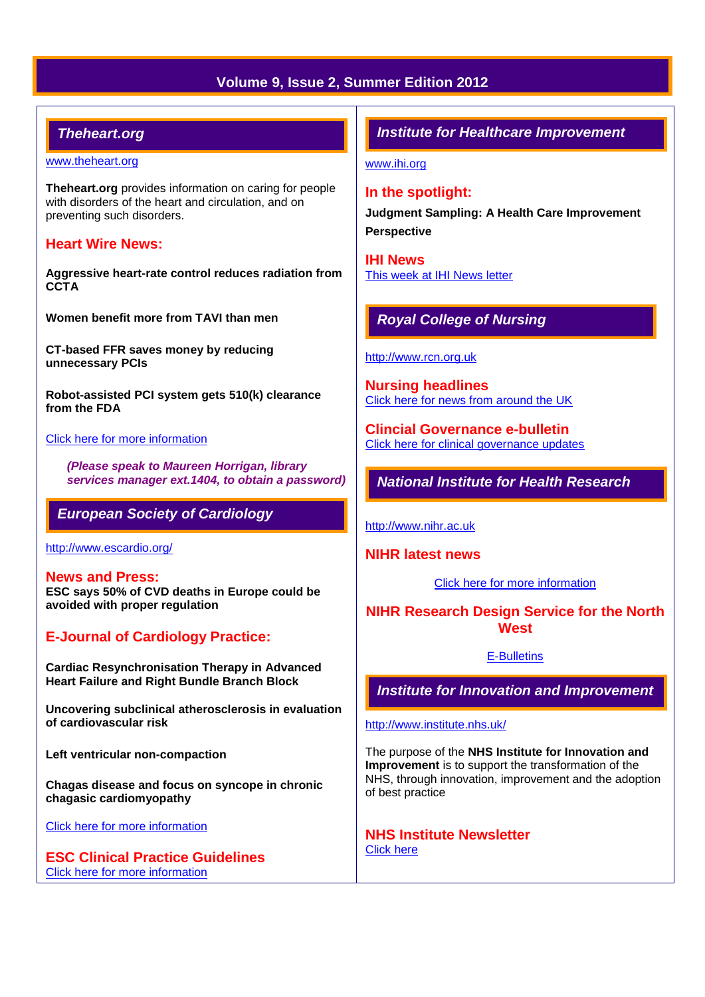# **Volume 9, Issue 2, Summer Edition 2012**

## *Theheart.org*

#### [www.theheart.org](http://www.theheart.org/)

**Theheart.org** provides information on caring for people with disorders of the heart and circulation, and on preventing such disorders.

#### **Heart Wire News:**

**Aggressive heart-rate control reduces radiation from CCTA**

**Women benefit more from TAVI than men**

**CT-based FFR saves money by reducing unnecessary PCIs**

**Robot-assisted PCI system gets 510(k) clearance from the FDA**

[Click here for more information](http://www.theheart.org/section/heartwire.do)

*(Please speak to Maureen Horrigan, library services manager ext.1404, to obtain a password)*

#### *European Society of Cardiology*

<http://www.escardio.org/>

**News and Press: ESC says 50% of CVD deaths in Europe could be avoided with proper regulation**

# **E-Journal of Cardiology Practice:**

**Cardiac Resynchronisation Therapy in Advanced Heart Failure and Right Bundle Branch Block**

**Uncovering subclinical atherosclerosis in evaluation of cardiovascular risk** 

**Left ventricular non-compaction**

**Chagas disease and focus on syncope in chronic chagasic cardiomyopathy**

[Click here for more information](http://www.escardio.org/communities/councils/ccp/e-journal/volume10/Pages/welcome.aspx)

**ESC Clinical Practice Guidelines**  [Click here for more information](http://www.escardio.org/guidelines-surveys/esc-guidelines/Pages/GuidelinesList.aspx)

### *Institute for Healthcare Improvement*

[www.ihi.org](http://www.ihi.org/)

#### **In the spotlight:**

**Judgment Sampling: A Health Care Improvement Perspective** 

**IHI News**  [This week at IHI News letter](http://www.ihi.org/Documents/ThisWeekatIHI.htm) 

# *Royal College of Nursing*

#### [http://www.rcn.org.uk](http://www.rcn.org.uk/)

**Nursing headlines** [Click here for news from around the UK](http://www.rcn.org.uk/newsevents/news)

**Clincial Governance e-bulletin** [Click here for clinical governance updates](http://www.rcn.org.uk/development/practice/clinical_governance/quality_and_safety_e-bulletin/e-bulletin_archive)

### *National Institute for Health Research*

[http://www.nihr.ac.uk](http://www.nihr.ac.uk/)

#### **NIHR latest news**

[Click here for more information](http://www.nihr.ac.uk/news/Pages/default.aspx)

# **NIHR Research Design Service for the North West**

#### [E-Bulletins](http://www.rds-nw.nihr.ac.uk/newstrainingevents/ebulletin.php)

*Institute for Innovation and Improvement*

#### <http://www.institute.nhs.uk/>

The purpose of the **NHS Institute for Innovation and Improvement** is to support the transformation of the NHS, through innovation, improvement and the adoption of best practice

**NHS Institute Newsletter**  [Click here](http://www.institute.nhs.uk/organisation/general/nhs_institute_newsletters.html)